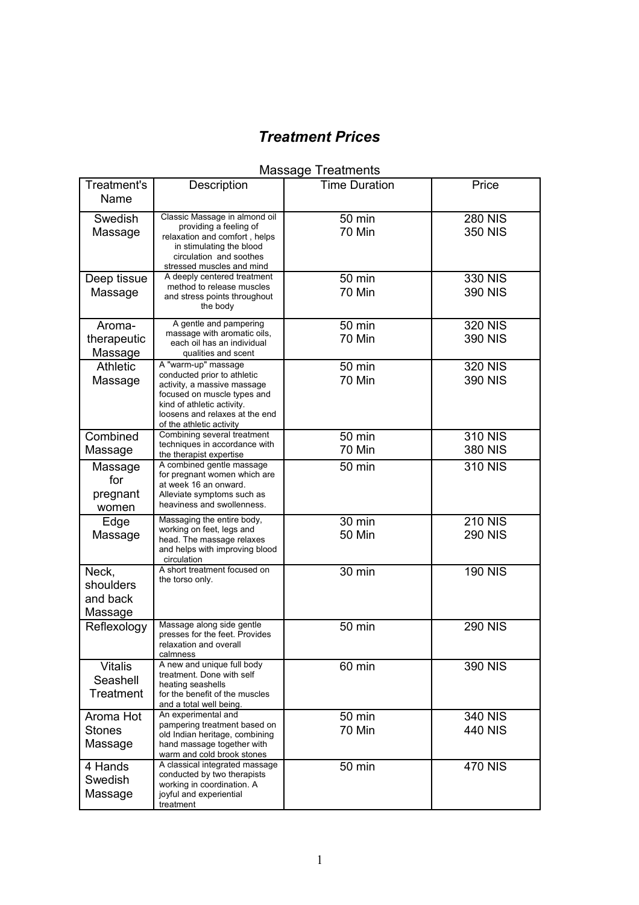# *Treatment Prices*

# Massage Treatments

| <b>Treatment's</b><br>Name                | Description                                                                                                                                                                                                  | <b>Time Duration</b>    | Price                            |
|-------------------------------------------|--------------------------------------------------------------------------------------------------------------------------------------------------------------------------------------------------------------|-------------------------|----------------------------------|
| Swedish<br>Massage                        | Classic Massage in almond oil<br>providing a feeling of<br>relaxation and comfort, helps<br>in stimulating the blood<br>circulation and soothes<br>stressed muscles and mind                                 | 50 min<br>70 Min        | <b>280 NIS</b><br><b>350 NIS</b> |
| Deep tissue<br>Massage                    | A deeply centered treatment<br>method to release muscles<br>and stress points throughout<br>the body                                                                                                         | 50 min<br>70 Min        | 330 NIS<br>390 NIS               |
| Aroma-<br>therapeutic<br>Massage          | A gentle and pampering<br>massage with aromatic oils,<br>each oil has an individual<br>qualities and scent                                                                                                   | 50 min<br>70 Min        | <b>320 NIS</b><br>390 NIS        |
| <b>Athletic</b><br>Massage                | A "warm-up" massage<br>conducted prior to athletic<br>activity, a massive massage<br>focused on muscle types and<br>kind of athletic activity.<br>loosens and relaxes at the end<br>of the athletic activity | 50 min<br>70 Min        | <b>320 NIS</b><br>390 NIS        |
| Combined<br>Massage                       | Combining several treatment<br>techniques in accordance with<br>the therapist expertise                                                                                                                      | 50 min<br>70 Min        | <b>310 NIS</b><br>380 NIS        |
| Massage<br>for<br>pregnant<br>women       | A combined gentle massage<br>for pregnant women which are<br>at week 16 an onward.<br>Alleviate symptoms such as<br>heaviness and swollenness.                                                               | 50 min                  | 310 NIS                          |
| Edge<br>Massage                           | Massaging the entire body,<br>working on feet, legs and<br>head. The massage relaxes<br>and helps with improving blood<br>circulation                                                                        | 30 min<br><b>50 Min</b> | <b>210 NIS</b><br><b>290 NIS</b> |
| Neck,<br>shoulders<br>and back<br>Massage | A short treatment focused on<br>the torso only.                                                                                                                                                              | 30 min                  | <b>190 NIS</b>                   |
| Reflexology                               | Massage along side gentle<br>presses for the feet. Provides<br>relaxation and overall<br>calmness                                                                                                            | 50 min                  | <b>290 NIS</b>                   |
| <b>Vitalis</b><br>Seashell<br>Treatment   | A new and unique full body<br>treatment. Done with self<br>heating seashells<br>for the benefit of the muscles<br>and a total well being.                                                                    | 60 min                  | 390 NIS                          |
| Aroma Hot<br><b>Stones</b><br>Massage     | An experimental and<br>pampering treatment based on<br>old Indian heritage, combining<br>hand massage together with<br>warm and cold brook stones                                                            | 50 min<br>70 Min        | 340 NIS<br>440 NIS               |
| 4 Hands<br>Swedish<br>Massage             | A classical integrated massage<br>conducted by two therapists<br>working in coordination. A<br>joyful and experiential<br>treatment                                                                          | 50 min                  | <b>470 NIS</b>                   |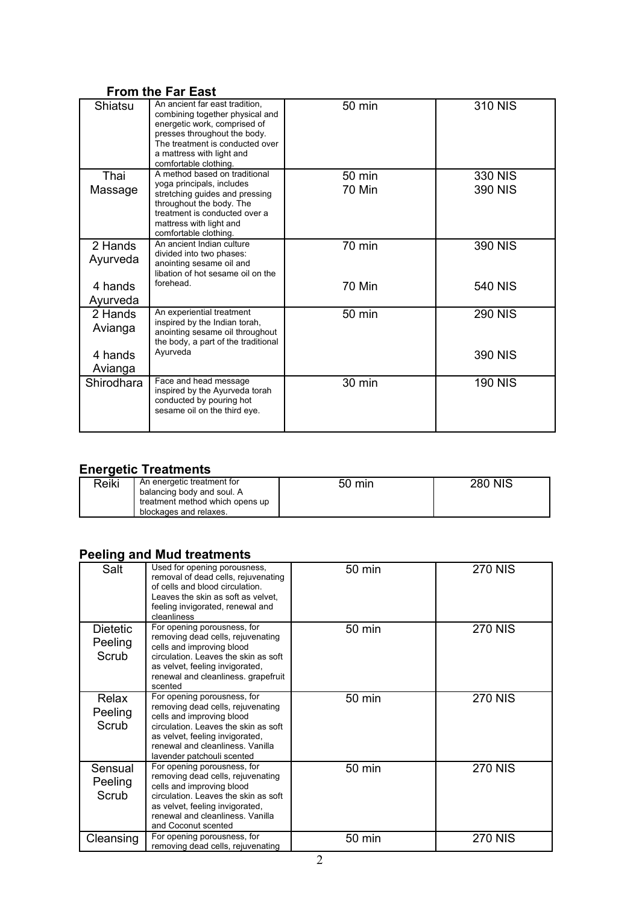### **From the Far East**

| Shiatsu             | An ancient far east tradition.<br>combining together physical and<br>energetic work, comprised of<br>presses throughout the body.<br>The treatment is conducted over<br>a mattress with light and<br>comfortable clothing. | 50 min           | 310 NIS            |
|---------------------|----------------------------------------------------------------------------------------------------------------------------------------------------------------------------------------------------------------------------|------------------|--------------------|
| Thai<br>Massage     | A method based on traditional<br>yoga principals, includes<br>stretching guides and pressing<br>throughout the body. The<br>treatment is conducted over a<br>mattress with light and<br>comfortable clothing.              | 50 min<br>70 Min | 330 NIS<br>390 NIS |
| 2 Hands<br>Ayurveda | An ancient Indian culture<br>divided into two phases:<br>anointing sesame oil and<br>libation of hot sesame oil on the                                                                                                     | 70 min           | 390 NIS            |
| 4 hands<br>Ayurveda | forehead.                                                                                                                                                                                                                  | 70 Min           | 540 NIS            |
| 2 Hands<br>Avianga  | An experiential treatment<br>inspired by the Indian torah,<br>anointing sesame oil throughout<br>the body, a part of the traditional                                                                                       | 50 min           | <b>290 NIS</b>     |
| 4 hands<br>Avianga  | Ayurveda                                                                                                                                                                                                                   |                  | 390 NIS            |
| Shirodhara          | Face and head message<br>inspired by the Ayurveda torah<br>conducted by pouring hot<br>sesame oil on the third eye.                                                                                                        | 30 min           | <b>190 NIS</b>     |

### **Energetic Treatments**

| Reiki | An energetic treatment for<br>balancing body and soul. A<br>treatment method which opens up | $50 \text{ min}$ | <b>280 NIS</b> |
|-------|---------------------------------------------------------------------------------------------|------------------|----------------|
|       | blockages and relaxes.                                                                      |                  |                |

## **Peeling and Mud treatments**

| Salt                         | Used for opening porousness,<br>removal of dead cells, rejuvenating<br>of cells and blood circulation.<br>Leaves the skin as soft as velvet.<br>feeling invigorated, renewal and<br>cleanliness                                            | 50 min | <b>270 NIS</b> |
|------------------------------|--------------------------------------------------------------------------------------------------------------------------------------------------------------------------------------------------------------------------------------------|--------|----------------|
| Dietetic<br>Peeling<br>Scrub | For opening porousness, for<br>removing dead cells, rejuvenating<br>cells and improving blood<br>circulation. Leaves the skin as soft<br>as velvet, feeling invigorated,<br>renewal and cleanliness. grapefruit<br>scented                 | 50 min | <b>270 NIS</b> |
| Relax<br>Peeling<br>Scrub    | For opening porousness, for<br>removing dead cells, rejuvenating<br>cells and improving blood<br>circulation. Leaves the skin as soft<br>as velvet, feeling invigorated,<br>renewal and cleanliness. Vanilla<br>lavender patchouli scented | 50 min | <b>270 NIS</b> |
| Sensual<br>Peeling<br>Scrub  | For opening porousness, for<br>removing dead cells, rejuvenating<br>cells and improving blood<br>circulation. Leaves the skin as soft<br>as velvet, feeling invigorated,<br>renewal and cleanliness. Vanilla<br>and Coconut scented        | 50 min | <b>270 NIS</b> |
| Cleansing                    | For opening porousness, for<br>removing dead cells, rejuvenating                                                                                                                                                                           | 50 min | <b>270 NIS</b> |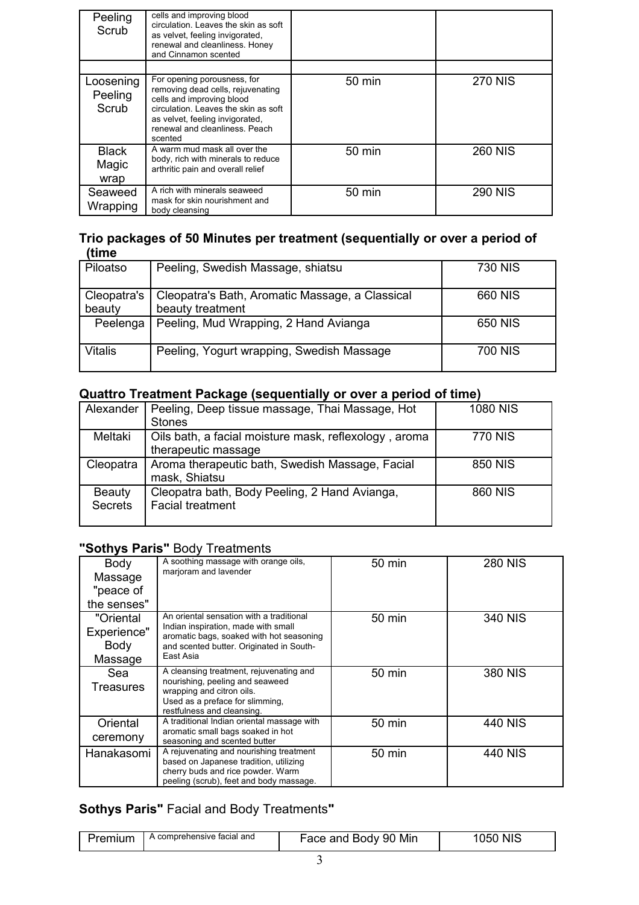| Peeling<br>Scrub              | cells and improving blood<br>circulation. Leaves the skin as soft<br>as velvet, feeling invigorated,<br>renewal and cleanliness. Honey<br>and Cinnamon scented                                                        |                  |                |
|-------------------------------|-----------------------------------------------------------------------------------------------------------------------------------------------------------------------------------------------------------------------|------------------|----------------|
|                               |                                                                                                                                                                                                                       |                  |                |
| Loosening<br>Peeling<br>Scrub | For opening porousness, for<br>removing dead cells, rejuvenating<br>cells and improving blood<br>circulation. Leaves the skin as soft<br>as velvet, feeling invigorated,<br>renewal and cleanliness. Peach<br>scented | $50 \text{ min}$ | <b>270 NIS</b> |
| <b>Black</b><br>Magic<br>wrap | A warm mud mask all over the<br>body, rich with minerals to reduce<br>arthritic pain and overall relief                                                                                                               | $50 \text{ min}$ | <b>260 NIS</b> |
| Seaweed<br>Wrapping           | A rich with minerals seaweed<br>mask for skin nourishment and<br>body cleansing                                                                                                                                       | 50 min           | <b>290 NIS</b> |

#### **Trio packages of 50 Minutes per treatment (sequentially or over a period of (time**

| ------                |                                                                     |         |
|-----------------------|---------------------------------------------------------------------|---------|
| Piloatso              | Peeling, Swedish Massage, shiatsu                                   | 730 NIS |
| Cleopatra's<br>beauty | Cleopatra's Bath, Aromatic Massage, a Classical<br>beauty treatment | 660 NIS |
| Peelenga              | Peeling, Mud Wrapping, 2 Hand Avianga                               | 650 NIS |
| Vitalis               | Peeling, Yogurt wrapping, Swedish Massage                           | 700 NIS |

## **Quattro Treatment Package (sequentially or over a period of time)**

| Alexander                       | Peeling, Deep tissue massage, Thai Massage, Hot<br>Stones                    | <b>1080 NIS</b> |
|---------------------------------|------------------------------------------------------------------------------|-----------------|
| Meltaki                         | Oils bath, a facial moisture mask, reflexology, aroma<br>therapeutic massage | <b>770 NIS</b>  |
| Cleopatra                       | Aroma therapeutic bath, Swedish Massage, Facial<br>mask, Shiatsu             | 850 NIS         |
| <b>Beauty</b><br><b>Secrets</b> | Cleopatra bath, Body Peeling, 2 Hand Avianga,<br><b>Facial treatment</b>     | 860 NIS         |

### **"Sothys Paris"** Body Treatments

| Body<br>Massage<br>"peace of<br>the senses" | A soothing massage with orange oils,<br>marjoram and lavender                                                                                                                        | 50 min | <b>280 NIS</b> |
|---------------------------------------------|--------------------------------------------------------------------------------------------------------------------------------------------------------------------------------------|--------|----------------|
| "Oriental<br>Experience"<br>Body<br>Massage | An oriental sensation with a traditional<br>Indian inspiration, made with small<br>aromatic bags, soaked with hot seasoning<br>and scented butter. Originated in South-<br>East Asia | 50 min | 340 NIS        |
| Sea<br><b>Treasures</b>                     | A cleansing treatment, rejuvenating and<br>nourishing, peeling and seaweed<br>wrapping and citron oils.<br>Used as a preface for slimming,<br>restfulness and cleansing.             | 50 min | 380 NIS        |
| Oriental<br>ceremony                        | A traditional Indian oriental massage with<br>aromatic small bags soaked in hot<br>seasoning and scented butter                                                                      | 50 min | <b>440 NIS</b> |
| Hanakasomi                                  | A rejuvenating and nourishing treatment<br>based on Japanese tradition, utilizing<br>cherry buds and rice powder. Warm<br>peeling (scrub), feet and body massage.                    | 50 min | 440 NIS        |

# **Sothys Paris"** Facial and Body Treatments**"**

| Premium | comprehensive facial and ، | Min<br>Face and Body 90 | NI.S<br>۱۳ |
|---------|----------------------------|-------------------------|------------|
|---------|----------------------------|-------------------------|------------|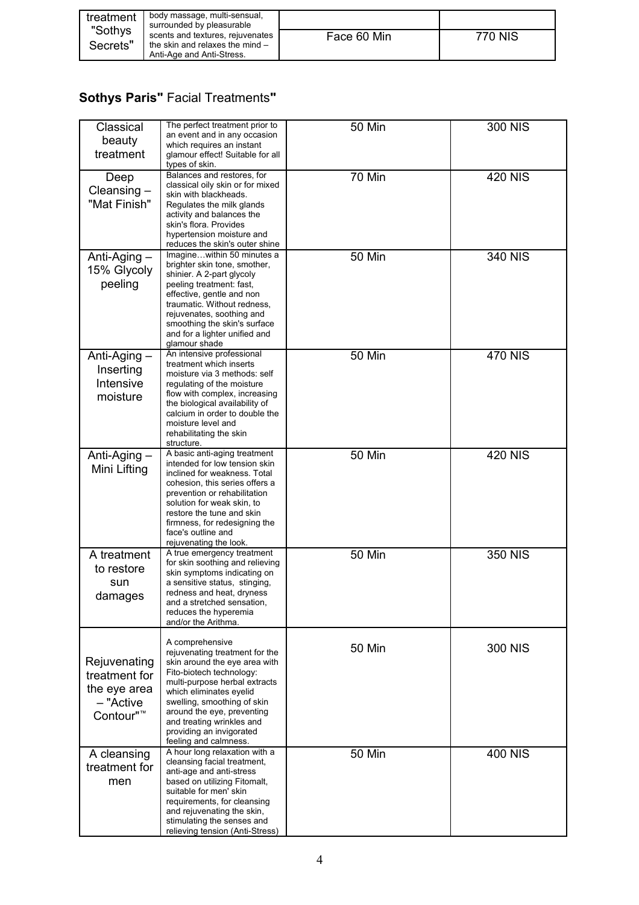| treatment | body massage, multi-sensual,<br>surrounded by pleasurable |             |         |
|-----------|-----------------------------------------------------------|-------------|---------|
| "Sothys   | scents and textures, rejuvenates                          | Face 60 Min | 770 NIS |
| Secrets"  | the skin and relaxes the mind $-$                         |             |         |
|           | Anti-Age and Anti-Stress.                                 |             |         |

# **Sothys Paris"** Facial Treatments**"**

| Classical<br>beauty<br>treatment                                                    | The perfect treatment prior to<br>an event and in any occasion<br>which requires an instant<br>glamour effect! Suitable for all<br>types of skin.                                                                                                                                                                         | <b>50 Min</b> | <b>300 NIS</b> |
|-------------------------------------------------------------------------------------|---------------------------------------------------------------------------------------------------------------------------------------------------------------------------------------------------------------------------------------------------------------------------------------------------------------------------|---------------|----------------|
| Deep<br>Cleansing $-$<br>"Mat Finish"                                               | Balances and restores, for<br>classical oily skin or for mixed<br>skin with blackheads.<br>Regulates the milk glands<br>activity and balances the<br>skin's flora. Provides<br>hypertension moisture and<br>reduces the skin's outer shine                                                                                | 70 Min        | <b>420 NIS</b> |
| Anti-Aging -<br>15% Glycoly<br>peeling                                              | Imaginewithin 50 minutes a<br>brighter skin tone, smother,<br>shinier. A 2-part glycoly<br>peeling treatment: fast,<br>effective, gentle and non<br>traumatic. Without redness,<br>rejuvenates, soothing and<br>smoothing the skin's surface<br>and for a lighter unified and<br>glamour shade                            | <b>50 Min</b> | 340 NIS        |
| Anti-Aging $-$<br>Inserting<br>Intensive<br>moisture                                | An intensive professional<br>treatment which inserts<br>moisture via 3 methods: self<br>regulating of the moisture<br>flow with complex, increasing<br>the biological availability of<br>calcium in order to double the<br>moisture level and<br>rehabilitating the skin<br>structure.                                    | <b>50 Min</b> | <b>470 NIS</b> |
| Anti-Aging -<br>Mini Lifting                                                        | A basic anti-aging treatment<br>intended for low tension skin<br>inclined for weakness. Total<br>cohesion, this series offers a<br>prevention or rehabilitation<br>solution for weak skin, to<br>restore the tune and skin<br>firmness, for redesigning the<br>face's outline and<br>rejuvenating the look.               | <b>50 Min</b> | <b>420 NIS</b> |
| A treatment<br>to restore<br>sun<br>damages                                         | A true emergency treatment<br>for skin soothing and relieving<br>skin symptoms indicating on<br>a sensitive status, stinging,<br>redness and heat, dryness<br>and a stretched sensation,<br>reduces the hyperemia<br>and/or the Arithma.                                                                                  | <b>50 Min</b> | <b>350 NIS</b> |
| Rejuvenating<br>treatment for<br>the eye area<br>- "Active<br>Contour" <sup>™</sup> | A comprehensive<br>rejuvenating treatment for the<br>skin around the eye area with<br>Fito-biotech technology:<br>multi-purpose herbal extracts<br>which eliminates eyelid<br>swelling, smoothing of skin<br>around the eye, preventing<br>and treating wrinkles and<br>providing an invigorated<br>feeling and calmness. | <b>50 Min</b> | 300 NIS        |
| A cleansing<br>treatment for<br>men                                                 | A hour long relaxation with a<br>cleansing facial treatment,<br>anti-age and anti-stress<br>based on utilizing Fitomalt,<br>suitable for men' skin<br>requirements, for cleansing<br>and rejuvenating the skin,<br>stimulating the senses and<br>relieving tension (Anti-Stress)                                          | <b>50 Min</b> | <b>400 NIS</b> |